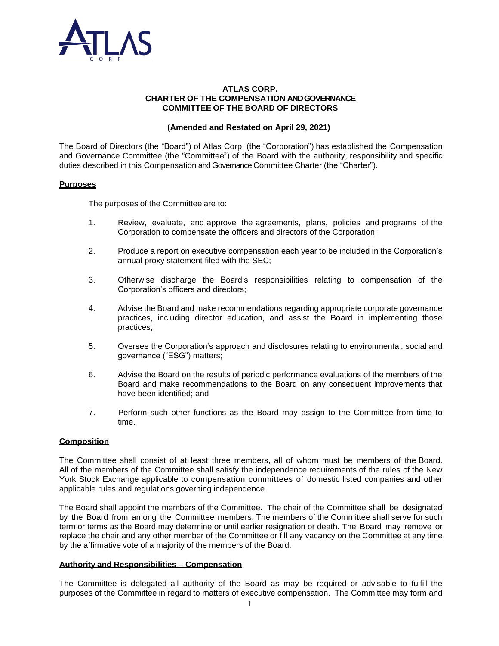

### **ATLAS CORP. CHARTER OF THE COMPENSATION AND GOVERNANCE COMMITTEE OF THE BOARD OF DIRECTORS**

# **(Amended and Restated on April 29, 2021)**

The Board of Directors (the "Board") of Atlas Corp. (the "Corporation") has established the Compensation and Governance Committee (the "Committee") of the Board with the authority, responsibility and specific duties described in this Compensation and Governance Committee Charter (the "Charter").

## **Purposes**

The purposes of the Committee are to:

- 1. Review, evaluate, and approve the agreements, plans, policies and programs of the Corporation to compensate the officers and directors of the Corporation;
- 2. Produce a report on executive compensation each year to be included in the Corporation's annual proxy statement filed with the SEC;
- 3. Otherwise discharge the Board's responsibilities relating to compensation of the Corporation's officers and directors;
- 4. Advise the Board and make recommendations regarding appropriate corporate governance practices, including director education, and assist the Board in implementing those practices;
- 5. Oversee the Corporation's approach and disclosures relating to environmental, social and governance ("ESG") matters;
- 6. Advise the Board on the results of periodic performance evaluations of the members of the Board and make recommendations to the Board on any consequent improvements that have been identified; and
- 7. Perform such other functions as the Board may assign to the Committee from time to time.

## **Composition**

The Committee shall consist of at least three members, all of whom must be members of the Board. All of the members of the Committee shall satisfy the independence requirements of the rules of the New York Stock Exchange applicable to compensation committees of domestic listed companies and other applicable rules and regulations governing independence.

The Board shall appoint the members of the Committee. The chair of the Committee shall be designated by the Board from among the Committee members. The members of the Committee shall serve for such term or terms as the Board may determine or until earlier resignation or death. The Board may remove or replace the chair and any other member of the Committee or fill any vacancy on the Committee at any time by the affirmative vote of a majority of the members of the Board.

## **Authority and Responsibilities – Compensation**

The Committee is delegated all authority of the Board as may be required or advisable to fulfill the purposes of the Committee in regard to matters of executive compensation. The Committee may form and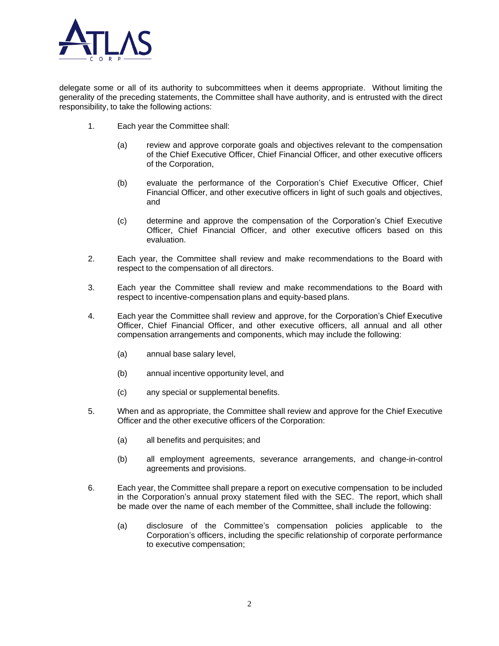

delegate some or all of its authority to subcommittees when it deems appropriate. Without limiting the generality of the preceding statements, the Committee shall have authority, and is entrusted with the direct responsibility, to take the following actions:

- 1. Each year the Committee shall:
	- (a) review and approve corporate goals and objectives relevant to the compensation of the Chief Executive Officer, Chief Financial Officer, and other executive officers of the Corporation,
	- (b) evaluate the performance of the Corporation's Chief Executive Officer, Chief Financial Officer, and other executive officers in light of such goals and objectives, and
	- (c) determine and approve the compensation of the Corporation's Chief Executive Officer, Chief Financial Officer, and other executive officers based on this evaluation.
- 2. Each year, the Committee shall review and make recommendations to the Board with respect to the compensation of all directors.
- 3. Each year the Committee shall review and make recommendations to the Board with respect to incentive-compensation plans and equity-based plans.
- 4. Each year the Committee shall review and approve, for the Corporation's Chief Executive Officer, Chief Financial Officer, and other executive officers, all annual and all other compensation arrangements and components, which may include the following:
	- (a) annual base salary level,
	- (b) annual incentive opportunity level, and
	- (c) any special or supplemental benefits.
- 5. When and as appropriate, the Committee shall review and approve for the Chief Executive Officer and the other executive officers of the Corporation:
	- (a) all benefits and perquisites; and
	- (b) all employment agreements, severance arrangements, and change-in-control agreements and provisions.
- 6. Each year, the Committee shall prepare a report on executive compensation to be included in the Corporation's annual proxy statement filed with the SEC. The report, which shall be made over the name of each member of the Committee, shall include the following:
	- (a) disclosure of the Committee's compensation policies applicable to the Corporation's officers, including the specific relationship of corporate performance to executive compensation;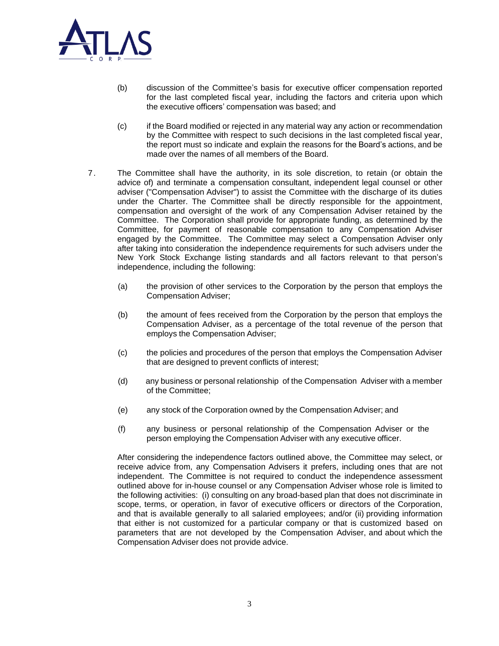

- (b) discussion of the Committee's basis for executive officer compensation reported for the last completed fiscal year, including the factors and criteria upon which the executive officers' compensation was based; and
- (c) if the Board modified or rejected in any material way any action or recommendation by the Committee with respect to such decisions in the last completed fiscal year, the report must so indicate and explain the reasons for the Board's actions, and be made over the names of all members of the Board.
- 7. The Committee shall have the authority, in its sole discretion, to retain (or obtain the advice of) and terminate a compensation consultant, independent legal counsel or other adviser ("Compensation Adviser") to assist the Committee with the discharge of its duties under the Charter. The Committee shall be directly responsible for the appointment, compensation and oversight of the work of any Compensation Adviser retained by the Committee. The Corporation shall provide for appropriate funding, as determined by the Committee, for payment of reasonable compensation to any Compensation Adviser engaged by the Committee. The Committee may select a Compensation Adviser only after taking into consideration the independence requirements for such advisers under the New York Stock Exchange listing standards and all factors relevant to that person's independence, including the following:
	- (a) the provision of other services to the Corporation by the person that employs the Compensation Adviser;
	- (b) the amount of fees received from the Corporation by the person that employs the Compensation Adviser, as a percentage of the total revenue of the person that employs the Compensation Adviser;
	- (c) the policies and procedures of the person that employs the Compensation Adviser that are designed to prevent conflicts of interest;
	- (d) any business or personal relationship of the Compensation Adviser with a member of the Committee;
	- (e) any stock of the Corporation owned by the Compensation Adviser; and
	- (f) any business or personal relationship of the Compensation Adviser or the person employing the Compensation Adviser with any executive officer.

After considering the independence factors outlined above, the Committee may select, or receive advice from, any Compensation Advisers it prefers, including ones that are not independent. The Committee is not required to conduct the independence assessment outlined above for in-house counsel or any Compensation Adviser whose role is limited to the following activities: (i) consulting on any broad-based plan that does not discriminate in scope, terms, or operation, in favor of executive officers or directors of the Corporation, and that is available generally to all salaried employees; and/or (ii) providing information that either is not customized for a particular company or that is customized based on parameters that are not developed by the Compensation Adviser, and about which the Compensation Adviser does not provide advice.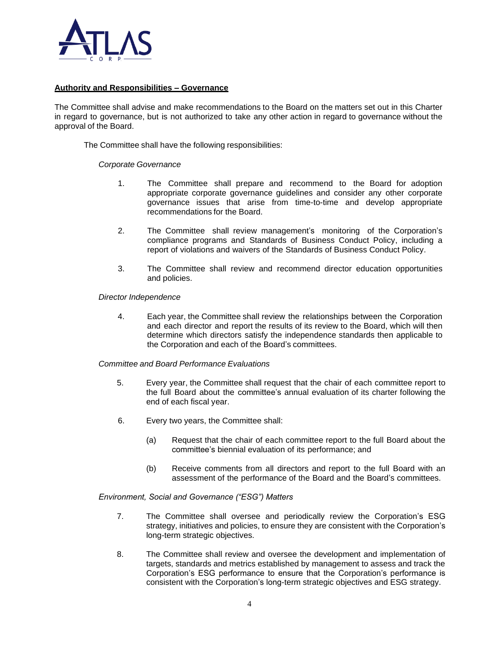

### **Authority and Responsibilities – Governance**

The Committee shall advise and make recommendations to the Board on the matters set out in this Charter in regard to governance, but is not authorized to take any other action in regard to governance without the approval of the Board.

The Committee shall have the following responsibilities:

### *Corporate Governance*

- 1. The Committee shall prepare and recommend to the Board for adoption appropriate corporate governance guidelines and consider any other corporate governance issues that arise from time-to-time and develop appropriate recommendations for the Board.
- 2. The Committee shall review management's monitoring of the Corporation's compliance programs and Standards of Business Conduct Policy, including a report of violations and waivers of the Standards of Business Conduct Policy.
- 3. The Committee shall review and recommend director education opportunities and policies.

### *Director Independence*

4. Each year, the Committee shall review the relationships between the Corporation and each director and report the results of its review to the Board, which will then determine which directors satisfy the independence standards then applicable to the Corporation and each of the Board's committees.

### *Committee and Board Performance Evaluations*

- 5. Every year, the Committee shall request that the chair of each committee report to the full Board about the committee's annual evaluation of its charter following the end of each fiscal year.
- 6. Every two years, the Committee shall:
	- (a) Request that the chair of each committee report to the full Board about the committee's biennial evaluation of its performance; and
	- (b) Receive comments from all directors and report to the full Board with an assessment of the performance of the Board and the Board's committees.

### *Environment, Social and Governance ("ESG") Matters*

- 7. The Committee shall oversee and periodically review the Corporation's ESG strategy, initiatives and policies, to ensure they are consistent with the Corporation's long-term strategic objectives.
- 8. The Committee shall review and oversee the development and implementation of targets, standards and metrics established by management to assess and track the Corporation's ESG performance to ensure that the Corporation's performance is consistent with the Corporation's long-term strategic objectives and ESG strategy.